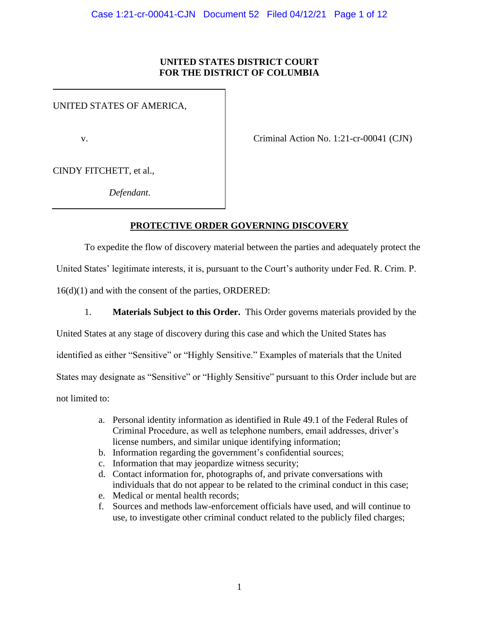#### **UNITED STATES DISTRICT COURT FOR THE DISTRICT OF COLUMBIA**

UNITED STATES OF AMERICA,

v. Criminal Action No. 1:21-cr-00041 (CJN)

CINDY FITCHETT, et al.,

*Defendant*.

# **PROTECTIVE ORDER GOVERNING DISCOVERY**

To expedite the flow of discovery material between the parties and adequately protect the

United States' legitimate interests, it is, pursuant to the Court's authority under Fed. R. Crim. P.

16(d)(1) and with the consent of the parties, ORDERED:

1. **Materials Subject to this Order.** This Order governs materials provided by the

United States at any stage of discovery during this case and which the United States has

identified as either "Sensitive" or "Highly Sensitive." Examples of materials that the United

States may designate as "Sensitive" or "Highly Sensitive" pursuant to this Order include but are

not limited to:

- a. Personal identity information as identified in Rule 49.1 of the Federal Rules of Criminal Procedure, as well as telephone numbers, email addresses, driver's license numbers, and similar unique identifying information;
- b. Information regarding the government's confidential sources;
- c. Information that may jeopardize witness security;
- d. Contact information for, photographs of, and private conversations with individuals that do not appear to be related to the criminal conduct in this case;
- e. Medical or mental health records;
- f. Sources and methods law-enforcement officials have used, and will continue to use, to investigate other criminal conduct related to the publicly filed charges;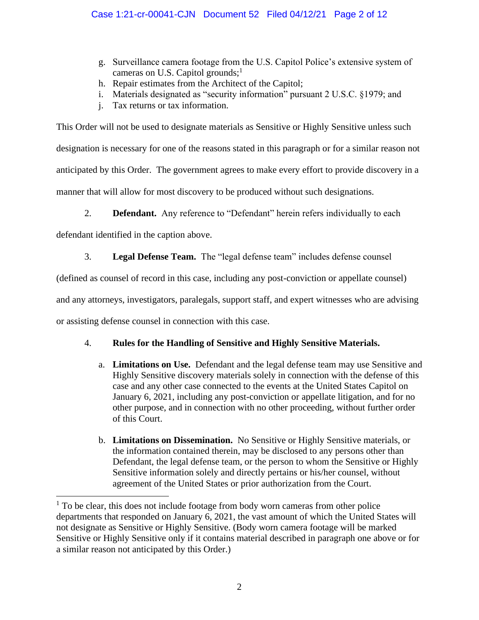- g. Surveillance camera footage from the U.S. Capitol Police's extensive system of cameras on U.S. Capitol grounds; $<sup>1</sup>$ </sup>
- h. Repair estimates from the Architect of the Capitol;
- i. Materials designated as "security information" pursuant 2 U.S.C. §1979; and
- j. Tax returns or tax information.

This Order will not be used to designate materials as Sensitive or Highly Sensitive unless such designation is necessary for one of the reasons stated in this paragraph or for a similar reason not anticipated by this Order. The government agrees to make every effort to provide discovery in a manner that will allow for most discovery to be produced without such designations.

2. **Defendant.** Any reference to "Defendant" herein refers individually to each

defendant identified in the caption above.

3. **Legal Defense Team.** The "legal defense team" includes defense counsel

(defined as counsel of record in this case, including any post-conviction or appellate counsel)

and any attorneys, investigators, paralegals, support staff, and expert witnesses who are advising

or assisting defense counsel in connection with this case.

# 4. **Rules for the Handling of Sensitive and Highly Sensitive Materials.**

- a. **Limitations on Use.** Defendant and the legal defense team may use Sensitive and Highly Sensitive discovery materials solely in connection with the defense of this case and any other case connected to the events at the United States Capitol on January 6, 2021, including any post-conviction or appellate litigation, and for no other purpose, and in connection with no other proceeding, without further order of this Court.
- b. **Limitations on Dissemination.** No Sensitive or Highly Sensitive materials, or the information contained therein, may be disclosed to any persons other than Defendant, the legal defense team, or the person to whom the Sensitive or Highly Sensitive information solely and directly pertains or his/her counsel, without agreement of the United States or prior authorization from the Court.

<sup>&</sup>lt;sup>1</sup> To be clear, this does not include footage from body worn cameras from other police departments that responded on January 6, 2021, the vast amount of which the United States will not designate as Sensitive or Highly Sensitive. (Body worn camera footage will be marked Sensitive or Highly Sensitive only if it contains material described in paragraph one above or for a similar reason not anticipated by this Order.)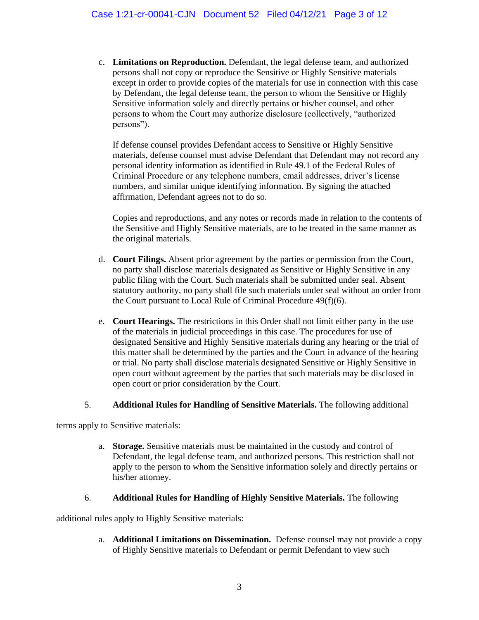c. **Limitations on Reproduction.** Defendant, the legal defense team, and authorized persons shall not copy or reproduce the Sensitive or Highly Sensitive materials except in order to provide copies of the materials for use in connection with this case by Defendant, the legal defense team, the person to whom the Sensitive or Highly Sensitive information solely and directly pertains or his/her counsel, and other persons to whom the Court may authorize disclosure (collectively, "authorized persons").

If defense counsel provides Defendant access to Sensitive or Highly Sensitive materials, defense counsel must advise Defendant that Defendant may not record any personal identity information as identified in Rule 49.1 of the Federal Rules of Criminal Procedure or any telephone numbers, email addresses, driver's license numbers, and similar unique identifying information. By signing the attached affirmation, Defendant agrees not to do so.

Copies and reproductions, and any notes or records made in relation to the contents of the Sensitive and Highly Sensitive materials, are to be treated in the same manner as the original materials.

- d. **Court Filings.** Absent prior agreement by the parties or permission from the Court, no party shall disclose materials designated as Sensitive or Highly Sensitive in any public filing with the Court. Such materials shall be submitted under seal. Absent statutory authority, no party shall file such materials under seal without an order from the Court pursuant to Local Rule of Criminal Procedure 49(f)(6).
- e. **Court Hearings.** The restrictions in this Order shall not limit either party in the use of the materials in judicial proceedings in this case. The procedures for use of designated Sensitive and Highly Sensitive materials during any hearing or the trial of this matter shall be determined by the parties and the Court in advance of the hearing or trial. No party shall disclose materials designated Sensitive or Highly Sensitive in open court without agreement by the parties that such materials may be disclosed in open court or prior consideration by the Court.

#### 5. **Additional Rules for Handling of Sensitive Materials.** The following additional

terms apply to Sensitive materials:

a. **Storage.** Sensitive materials must be maintained in the custody and control of Defendant, the legal defense team, and authorized persons. This restriction shall not apply to the person to whom the Sensitive information solely and directly pertains or his/her attorney.

#### 6. **Additional Rules for Handling of Highly Sensitive Materials.** The following

additional rules apply to Highly Sensitive materials:

a. **Additional Limitations on Dissemination.** Defense counsel may not provide a copy of Highly Sensitive materials to Defendant or permit Defendant to view such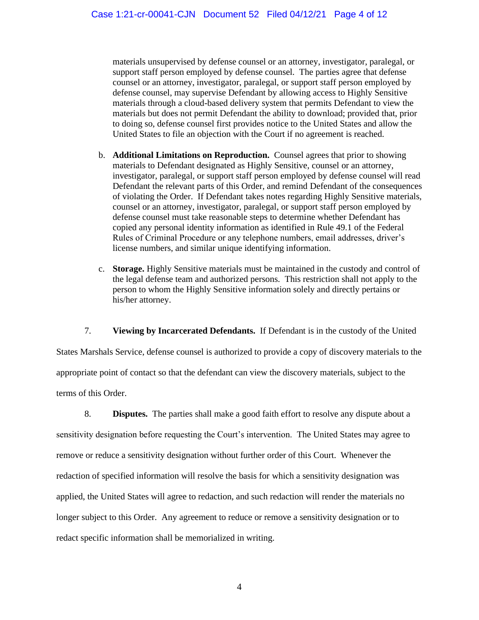materials unsupervised by defense counsel or an attorney, investigator, paralegal, or support staff person employed by defense counsel. The parties agree that defense counsel or an attorney, investigator, paralegal, or support staff person employed by defense counsel, may supervise Defendant by allowing access to Highly Sensitive materials through a cloud-based delivery system that permits Defendant to view the materials but does not permit Defendant the ability to download; provided that, prior to doing so, defense counsel first provides notice to the United States and allow the United States to file an objection with the Court if no agreement is reached.

- b. **Additional Limitations on Reproduction.** Counsel agrees that prior to showing materials to Defendant designated as Highly Sensitive, counsel or an attorney, investigator, paralegal, or support staff person employed by defense counsel will read Defendant the relevant parts of this Order, and remind Defendant of the consequences of violating the Order. If Defendant takes notes regarding Highly Sensitive materials, counsel or an attorney, investigator, paralegal, or support staff person employed by defense counsel must take reasonable steps to determine whether Defendant has copied any personal identity information as identified in Rule 49.1 of the Federal Rules of Criminal Procedure or any telephone numbers, email addresses, driver's license numbers, and similar unique identifying information.
- c. **Storage.** Highly Sensitive materials must be maintained in the custody and control of the legal defense team and authorized persons. This restriction shall not apply to the person to whom the Highly Sensitive information solely and directly pertains or his/her attorney.

7. **Viewing by Incarcerated Defendants.** If Defendant is in the custody of the United States Marshals Service, defense counsel is authorized to provide a copy of discovery materials to the appropriate point of contact so that the defendant can view the discovery materials, subject to the terms of this Order.

8. **Disputes.** The parties shall make a good faith effort to resolve any dispute about a sensitivity designation before requesting the Court's intervention. The United States may agree to remove or reduce a sensitivity designation without further order of this Court. Whenever the redaction of specified information will resolve the basis for which a sensitivity designation was applied, the United States will agree to redaction, and such redaction will render the materials no longer subject to this Order. Any agreement to reduce or remove a sensitivity designation or to redact specific information shall be memorialized in writing.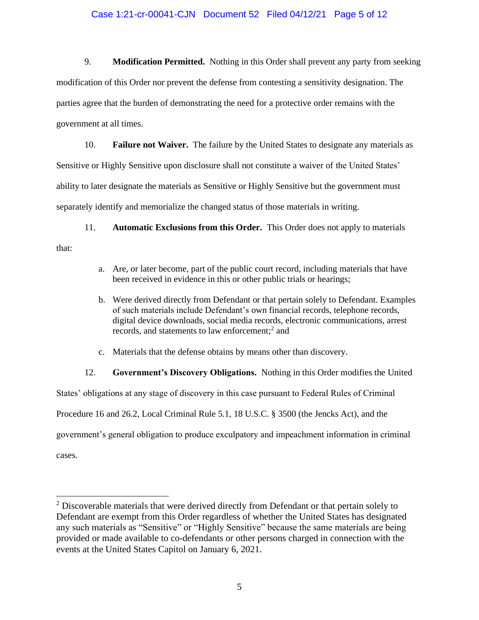#### Case 1:21-cr-00041-CJN Document 52 Filed 04/12/21 Page 5 of 12

9. **Modification Permitted.** Nothing in this Order shall prevent any party from seeking modification of this Order nor prevent the defense from contesting a sensitivity designation. The parties agree that the burden of demonstrating the need for a protective order remains with the government at all times.

10. **Failure not Waiver.** The failure by the United States to designate any materials as Sensitive or Highly Sensitive upon disclosure shall not constitute a waiver of the United States' ability to later designate the materials as Sensitive or Highly Sensitive but the government must separately identify and memorialize the changed status of those materials in writing.

11. **Automatic Exclusions from this Order.** This Order does not apply to materials

that:

- a. Are, or later become, part of the public court record, including materials that have been received in evidence in this or other public trials or hearings;
- b. Were derived directly from Defendant or that pertain solely to Defendant. Examples of such materials include Defendant's own financial records, telephone records, digital device downloads, social media records, electronic communications, arrest records, and statements to law enforcement;<sup>2</sup> and
- c. Materials that the defense obtains by means other than discovery.

#### 12. **Government's Discovery Obligations.** Nothing in this Order modifies the United

States' obligations at any stage of discovery in this case pursuant to Federal Rules of Criminal Procedure 16 and 26.2, Local Criminal Rule 5.1, 18 U.S.C. § 3500 (the Jencks Act), and the government's general obligation to produce exculpatory and impeachment information in criminal cases.

 $2$  Discoverable materials that were derived directly from Defendant or that pertain solely to Defendant are exempt from this Order regardless of whether the United States has designated any such materials as "Sensitive" or "Highly Sensitive" because the same materials are being provided or made available to co-defendants or other persons charged in connection with the events at the United States Capitol on January 6, 2021.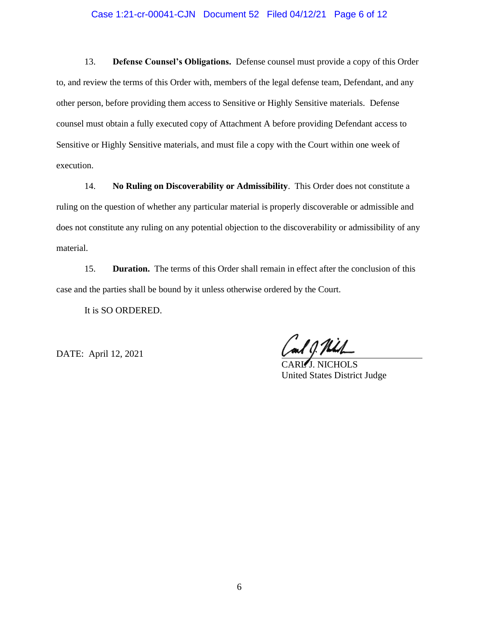#### Case 1:21-cr-00041-CJN Document 52 Filed 04/12/21 Page 6 of 12

13. **Defense Counsel's Obligations.** Defense counsel must provide a copy of this Order to, and review the terms of this Order with, members of the legal defense team, Defendant, and any other person, before providing them access to Sensitive or Highly Sensitive materials. Defense counsel must obtain a fully executed copy of Attachment A before providing Defendant access to Sensitive or Highly Sensitive materials, and must file a copy with the Court within one week of execution.

14. **No Ruling on Discoverability or Admissibility**. This Order does not constitute a ruling on the question of whether any particular material is properly discoverable or admissible and does not constitute any ruling on any potential objection to the discoverability or admissibility of any material.

15. **Duration.** The terms of this Order shall remain in effect after the conclusion of this case and the parties shall be bound by it unless otherwise ordered by the Court.

It is SO ORDERED.

DATE: April 12, 2021

 $\overline{I}$  NICHOLS United States District Judge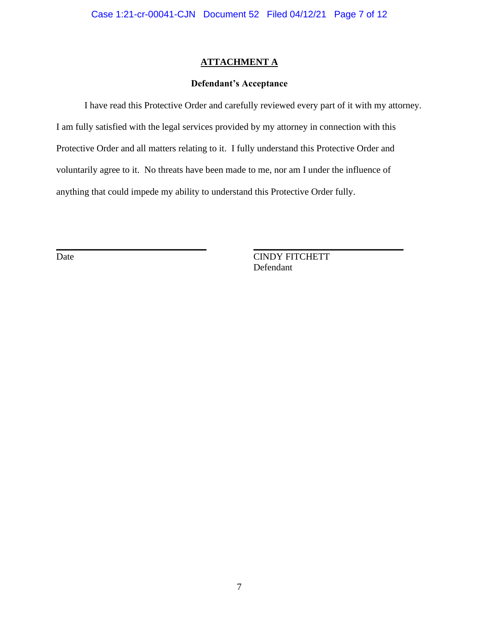# **Defendant's Acceptance**

I have read this Protective Order and carefully reviewed every part of it with my attorney. I am fully satisfied with the legal services provided by my attorney in connection with this Protective Order and all matters relating to it. I fully understand this Protective Order and voluntarily agree to it. No threats have been made to me, nor am I under the influence of anything that could impede my ability to understand this Protective Order fully.

\_\_\_\_\_\_\_\_\_\_\_\_\_\_\_\_\_\_\_\_\_\_\_\_\_\_\_\_\_\_\_\_ \_\_\_\_\_\_\_\_\_\_\_\_\_\_\_\_\_\_\_\_\_\_\_\_\_\_\_\_\_\_\_\_

Date CINDY FITCHETT Defendant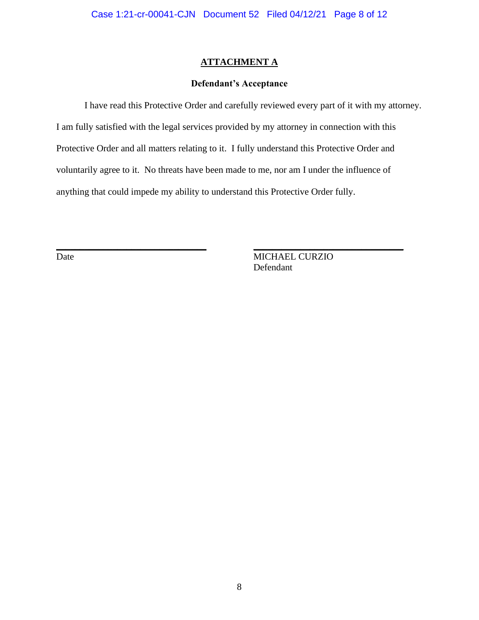# **Defendant's Acceptance**

I have read this Protective Order and carefully reviewed every part of it with my attorney. I am fully satisfied with the legal services provided by my attorney in connection with this Protective Order and all matters relating to it. I fully understand this Protective Order and voluntarily agree to it. No threats have been made to me, nor am I under the influence of anything that could impede my ability to understand this Protective Order fully.

\_\_\_\_\_\_\_\_\_\_\_\_\_\_\_\_\_\_\_\_\_\_\_\_\_\_\_\_\_\_\_\_ \_\_\_\_\_\_\_\_\_\_\_\_\_\_\_\_\_\_\_\_\_\_\_\_\_\_\_\_\_\_\_\_

Date MICHAEL CURZIO Defendant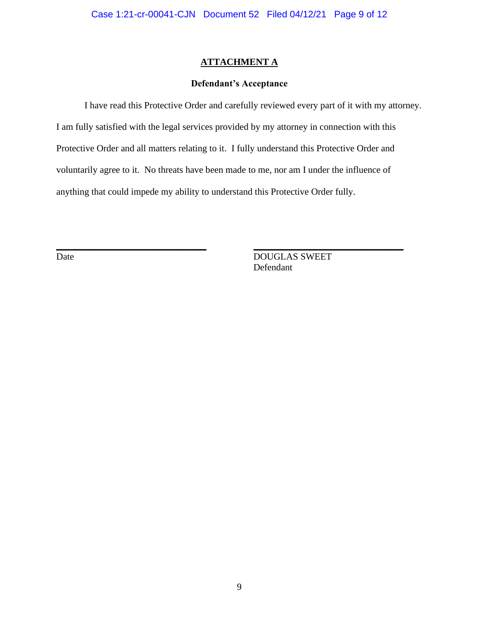# **Defendant's Acceptance**

I have read this Protective Order and carefully reviewed every part of it with my attorney. I am fully satisfied with the legal services provided by my attorney in connection with this Protective Order and all matters relating to it. I fully understand this Protective Order and voluntarily agree to it. No threats have been made to me, nor am I under the influence of anything that could impede my ability to understand this Protective Order fully.

\_\_\_\_\_\_\_\_\_\_\_\_\_\_\_\_\_\_\_\_\_\_\_\_\_\_\_\_\_\_\_\_ \_\_\_\_\_\_\_\_\_\_\_\_\_\_\_\_\_\_\_\_\_\_\_\_\_\_\_\_\_\_\_\_

Date DOUGLAS SWEET Defendant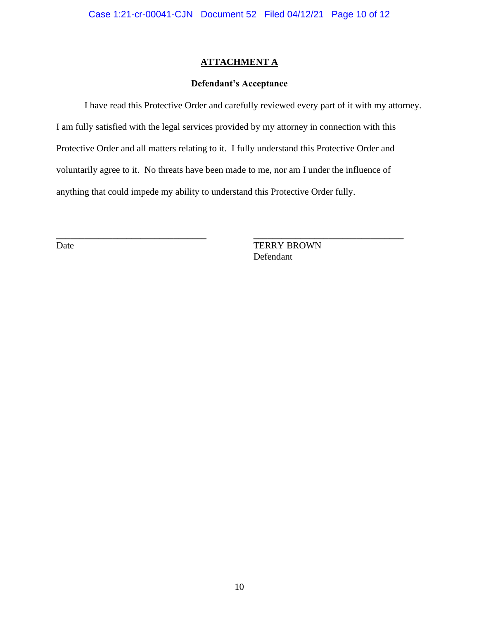# **Defendant's Acceptance**

I have read this Protective Order and carefully reviewed every part of it with my attorney. I am fully satisfied with the legal services provided by my attorney in connection with this Protective Order and all matters relating to it. I fully understand this Protective Order and voluntarily agree to it. No threats have been made to me, nor am I under the influence of anything that could impede my ability to understand this Protective Order fully.

 $\_$  , and the state of the state of the state of the state of the state of the state of the state of the state of the state of the state of the state of the state of the state of the state of the state of the state of the

Date TERRY BROWN Defendant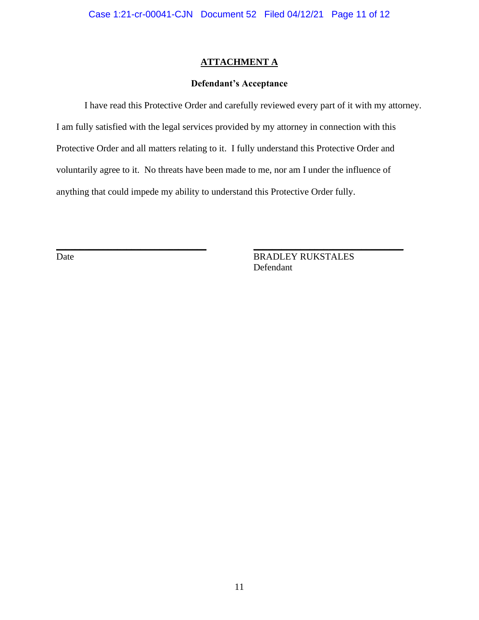### **Defendant's Acceptance**

I have read this Protective Order and carefully reviewed every part of it with my attorney. I am fully satisfied with the legal services provided by my attorney in connection with this Protective Order and all matters relating to it. I fully understand this Protective Order and voluntarily agree to it. No threats have been made to me, nor am I under the influence of anything that could impede my ability to understand this Protective Order fully.

\_\_\_\_\_\_\_\_\_\_\_\_\_\_\_\_\_\_\_\_\_\_\_\_\_\_\_\_\_\_\_\_ \_\_\_\_\_\_\_\_\_\_\_\_\_\_\_\_\_\_\_\_\_\_\_\_\_\_\_\_\_\_\_\_

Date BRADLEY RUKSTALES Defendant